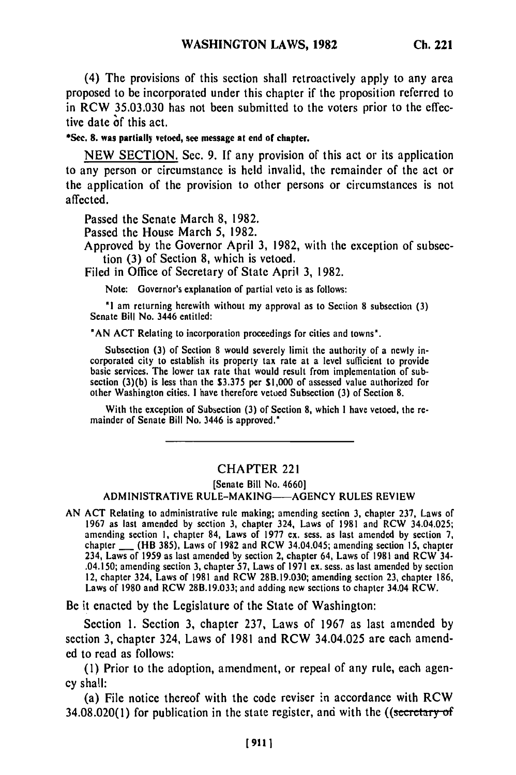(4) The provisions of this section shall retroactively apply to any area proposed to be incorporated under this chapter if the proposition referred to in RCW **35.03.030** has not been submitted to the voters prior to the effective date **of** this act.

## **\*Sec. 8.** was partially **vetoed, see message at end of chapter.**

NEW SECTION. Sec. 9. If any provision of this act or its application to any person or circumstance is held invalid, the remainder of the act or the application of the provision to other persons or circumstances is not affected.

Passed the Senate March 8, 1982.

Passed the House March 5, 1982.

Approved by the Governor April 3, 1982, with the exception of subsection (3) of Section 8, which is vetoed.

Filed in Office of Secretary of State April 3, 1982.

Note: Governor's explanation of partial veto is as follows:

**'I** am returning herewith without my approval as to Section 8 subsection (3) Senate Bill No. 3446 entitled:

"AN ACT Relating to incorporation proceedings for cities and towns'.

Subsection (3) of Section 8 would severely limit the authority of a newly incorporated city to establish its property tax rate at a level sufficient to provide basic services. The lower tax rate that would result from implementation of subpasic services. The lower tax rate that would result from implementation of sub-<br>section (3)(b) is less than the \$3.375 per \$1,000 of assessed value outhorized for other Washington cities. **I** have therefore vetoed Subsection (3) of Section 8.

With the exception of Subsection (3) of Section 8, which **I** have vetoed, the remainder of Senate Bill No. 3446 is approved."

## CHAPTER 221

[Senate Bill No. 4660]

## ADMINISTRATIVE RULE-MAKING--- AGENCY RULES REVIEW

AN ACT Relating to administrative rule making; amending section **3,** chapter 237, Laws of 1967 as last amended by section **3,** chapter 324, Laws of 1981 and RCW 34.04.025; 1967 as last amended by section 3, chapter 324, Laws of 1981 and RCW 34.04.025; amending section 1, chapter 84, Laws of 1977 ex. sess. as last amended by section 7, chapter **\_** (HB 385), Laws of 1982 and RCW 34.04.045; amending section 15, chapter 234, Laws of 1959 as last amended by section 2, chapter 64, Laws of 1981 and RCW 34- .04.150; amending section 3, chapter **57,** Laws of 1971 ex. sess. as last amended by section 12, chapter 324, Laws of 1981 and RCW 28B.19.030; amending section **23,** chapter 186, La, chapter 324, Laws of 1981 and RCW 28B.19.030; amending section 23, chapter  $\frac{1}{2}$ 

Be it enacted by the Legislature of the State of Washington:

Section 1. Section 3, chapter 237, Laws of 1967 as last amended by section 3, chapter 324, Laws of 1981 and RCW 34.04.025 are each amended to read as follows:

(1) Prior to the adoption, amendment, or repeal of any rule, each agency shall:

(a) File notice thereof with the code reviser in accordance with RCW  $34.08.020(1)$  for publication in the state register, and with the ((secretary of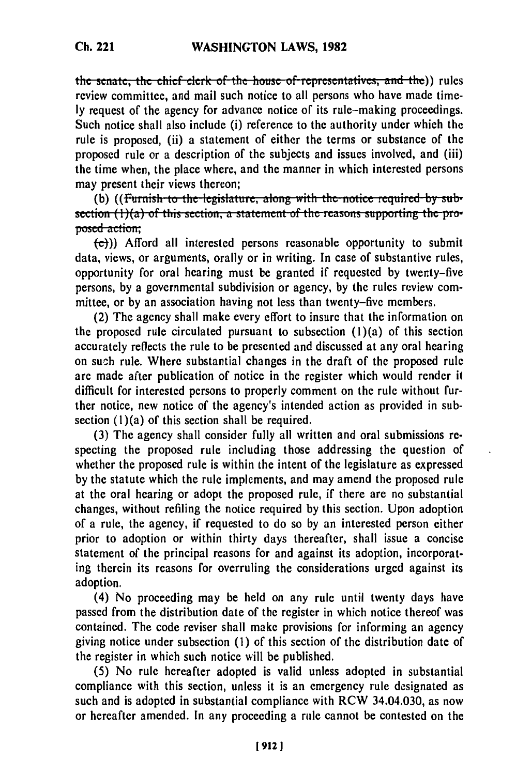the senate; the chief clerk of the house of representatives, and the)) rules review committee, and mail such notice to all persons who have made time**ly** request of the agency for advance notice of its rule-making proceedings. Such notice shall also include (i) reference to the authority under which the rule is proposed, (ii) a statement of either the terms or substance of the proposed rule or a description of the subjects and issues involved, and (iii) the time when, the place where, and the manner in which interested persons may present their views thereon;<br>(b) ((Furnish to the legislature, along with the notice required by sub-

**section** (1)(a) of this section, a statement of the reasons supporting the proposed-action;

**(e)))** Afford all interested persons reasonable opportunity to submit data, views, or arguments, orally or in writing. In case of substantive rules, opportunity for oral hearing must be granted if requested by twenty-five persons, **by** a governmental subdivision or agency, by the rules review committee, or by an association having not less than twenty-five members.

(2) The agency shall make every effort to insure that the information on the proposed rule circulated pursuant to subsection  $(1)(a)$  of this section accurately reflects the rule to be presented and discussed at any oral hearing on such rule. Where substantial changes in the draft of the proposed rule are made after publication of notice in the register which would render it difficult for interested persons to properly comment on the rule without further notice, new notice of the agency's intended action as provided in subsection (1)(a) of this section shall be required.

**(3)** The agency shall consider fully all written and oral submissions respecting the proposed rule including those addressing the question of whether the proposed rule is within the intent of the legislature as expressed by the statute which the rule implements, and may amend the proposed rule at the oral hearing or adopt the proposed rule, if there are no substantial changes, without refiling the notice required by this section. Upon adoption of a rule, the agency, if requested to do so by an interested person either prior to adoption or within thirty days thereafter, shall issue a concise statement of the principal reasons for and against its adoption, incorporating therein its reasons for overruling the considerations urged against its adoption.

(4) No proceeding may be held on any rule until twenty days have passed from the distribution date of the register in which notice thereof was contained. The code reviser shall make provisions for informing an agency giving notice under subsection (1) of this section of the distribution date of the register in which such notice will be published.

**(5)** No rule hereafter adopted is valid unless adopted in substantial compliance with this section, unless it is an emergency rule designated as such and is adopted in substantial compliance with RCW 34.04.030, as now or hereafter amended. In any proceeding a rule cannot be contested on the

**Ch. 221**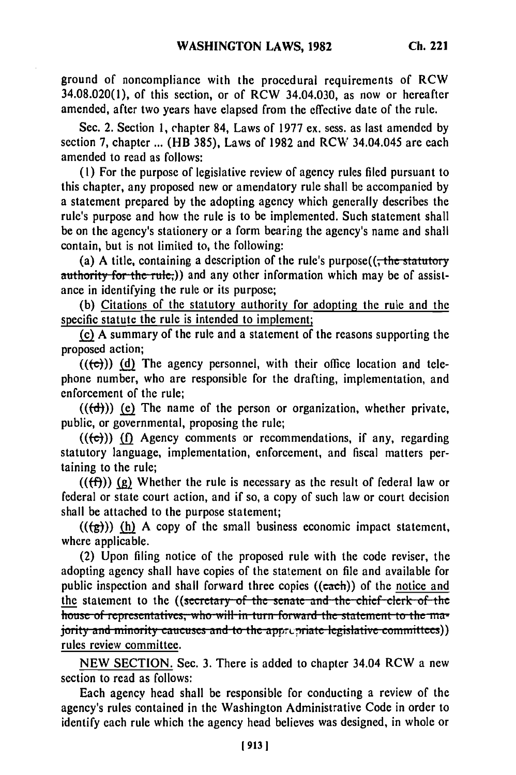ground of noncompliance with the procedural requirements of RCW 34.08.020(1), of this section, or of RCW 34.04.030, as now or hereafter amended, after two years have elapsed from the effective date of the rule.

Sec. 2. Section **1,** chapter 84, Laws of **1977** ex. sess. as last amended **by** section **7,** chapter **...** (HB **385),** Laws of **1982** and **RCW** 34.04.045 are each amended to read as follows:

**(1)** For the purpose of legislative review of agency rules filed pursuant to this chapter, any proposed new or amendatory rule shall be accompanied **by** a statement prepared **by** the adopting agency which generally describes the rule's purpose and how the rule is to be implemented. Such statement shall be on the agency's stationery or a form bearing the agency's name and shall contain, but is not limited to, the following:

(a) A title, containing a description of the rule's purpose(( $\frac{1}{100}$  statutory authority for the rule;)) and any other information which may be of assistance in identifying the rule or its purpose;

**(b)** Citations of the statutory authority for adopting the rule and the specific statute the rule is intended to implement;

**(c) A** summary of the rule and a statement of the reasons supporting the proposed action;

 $((\{\epsilon\}))$  (d) The agency personnel, with their office location and telephone number, who are responsible for the drafting, implementation, and enforcement of the rule;

 $((\{d\}))$  (e) The name of the person or organization, whether private, public, or governmental, proposing the rule;

 $((\epsilon))$  (f) Agency comments or recommendations, if any, regarding statutory language, implementation, enforcement, and fiscal matters pertaining to the rule;

 $((f\hat{f}))$  (g) Whether the rule is necessary as the result of federal law or federal or state court action, and if so, a copy of such law or court decision shall be attached to the purpose statement;

 $((\frac{1}{2}))$  (h) A copy of the small business economic impact statement, where applicable.

(2) Upon filing notice of the proposed rule with the code reviser, the adopting agency shall have copies of the statement on file and available for public inspection and shall forward three copies ((each)) of the notice and the statement to the ((secretary of the senate and the chief clerk of the house of representatives, who will in turn forward the statement to the ma-<br>jority and minority caucuses and to the apprepriate legislative committees)) rules review committee.

**NEW SECTION.** Sec. **3.** There is added to chapter 34.04 RCW a new section to read as follows:

Each agency head shall be responsible for conducting a review of the agency's rules contained in the Washington Administrative Code in order to identify each rule which the agency head believes was designed, in whole or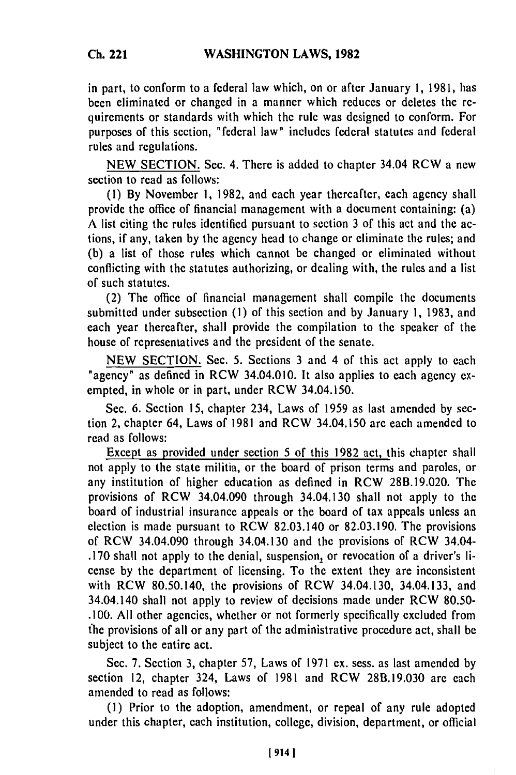in part, to conform to a federal law which, on or after January **1,** 1981, has been eliminated or changed in a manner which reduces or deletes the requirements or standards with which the rule was designed to conform. For purposes of this section, "federal law" includes federal statutes and federal rules and regulations.

NEW SECTION. Sec. 4. There is added to chapter 34.04 RCW a new section to read as follows:

**(1)** By November 1, 1982, and each year thereafter, each agency shall provide the office of financial management with a document containing: (a) A list citing the rules identified pursuant to section 3 of this act and the actions, if any, taken by the agency head to change or eliminate the rules; and (b) a list of those rules which cannot be changed or eliminated without conflicting with the statutes authorizing, or dealing with, the rules and a list of such statutes.

(2) The office of financial management shall compile the documents submitted under subsection (1) of this section and by January 1, 1983, and each year thereafter, shall provide the compilation to the speaker of the house of representatives and the president of the senate.

NEW SECTION. Sec. 5. Sections 3 and 4 of this act apply to each "agency" as defined in RCW 34.04.010. It also applies to each agency exempted, in whole or in part, under RCW 34.04.150.

Sec. 6. Section 15, chapter 234, Laws of 1959 as last amended by section 2, chapter 64, Laws of 1981 and RCW 34.04.150 are each amended to read as follows:

Except as provided under section 5 of this 1982 act, this chapter shall not apply to the state militia, or the board of prison terms and paroles, or any institution of higher education as defined in RCW 28B.19.020. The provisions of RCW 34.04.090 through 34.04.130 shall not apply to the board of industrial insurance appeals or the board of tax appeals unless an election is made pursuant to RCW 82.03.140 or 82.03.190. The provisions of RCW 34.04.090 through 34.04.130 and the provisions of RCW 34.04- .170 shall not apply to the denial, suspension, or revocation of a driver's license by the department of licensing. To the extent they are inconsistent with RCW 80.50.140, the provisions of RCW 34.04.130, 34.04.133, and 34.04.140 shall not apply to review of decisions made under RCW 80.50- .100. All other agencies, whether or not formerly specifically excluded from fhe provisions of all or any part of the administrative procedure act, shall be subject to the entire act.

Sec. 7. Section 3, chapter 57, Laws of 1971 ex. sess. as last amended by section 12, chapter 324, Laws of 1981 and RCW 28B.19.030 are each amended to read as follows:

**(1)** Prior to the adoption, amendment, or repeal of any rule adopted under this chapter, each institution, college, division, department, or official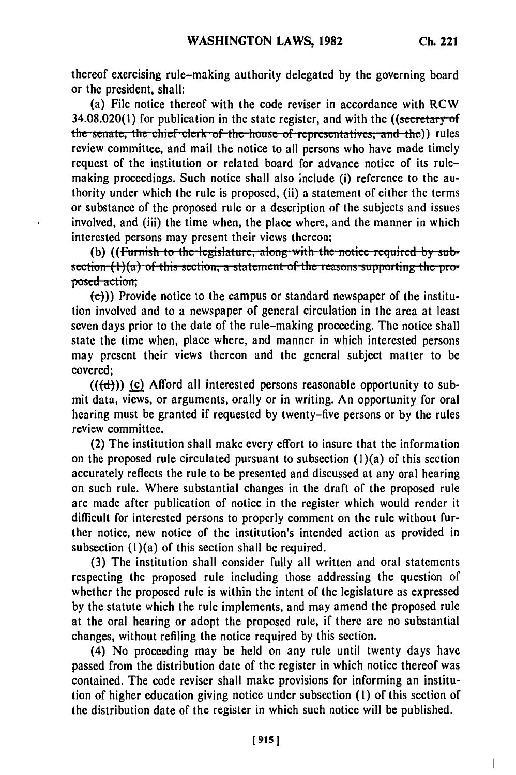$\overline{1}$ 

thereof exercising rule-making authority delegated by the governing board or the president, shall:

(a) File notice thereof with the code reviser in accordance with RCW  $34.08.020(1)$  for publication in the state register, and with the ((secretary of the senate, the chief clerk of the house of representatives, and the)) rules review committee, and mail the notice to all persons who have made timely request of the institution or related board for advance notice of its rulemaking proceedings. Such notice shall also include (i) reference to the authority under which the rule is proposed, (ii) a statement of either the terms or substance of the proposed rule or a description of the subjects and issues involved, and (iii) the time when, the place where, and the manner in which interested persons may present their views thereon;<br>(b) ((Furnish to the legislature, along with the notice required by sub-

section (1)(a) of this section, a statement of the reasons supporting the proposed-action;

 $\cdot$ 

 $\left(\frac{c}{c}\right)$ )) Provide notice to the campus or standard newspaper of the institution involved and to a newspaper of general circulation in the area at least seven days prior to the date of the rule-making proceeding. The notice shall state the time when, place where, and manner in which interested persons may present their views thereon and the general subject matter to be covered;

 $((\text{d}))$  (c) Afford all interested persons reasonable opportunity to submit data, views, or arguments, orally or in writing. An opportunity for oral hearing must be granted if requested by twenty-five persons or by the rules review committee.

(2) The institution shall make every effort to insure that the information on the proposed rule circulated pursuant to subsection  $(1)(a)$  of this section accurately reflects the rule to be presented and discussed at any oral hearing on such rule. Where substantial changes in the draft of the proposed rule are made after publication of notice in the register which would render it difficult for interested persons to properly comment on the rule without further notice, new notice of the institution's intended action as provided in subsection  $(1)(a)$  of this section shall be required.

(3) The institution shall consider fully all written and oral statements respecting the proposed rule including those addressing the question of whether the proposed rule is within the intent of the legislature as expressed by the statute which the rule implements, and may amend the proposed rule at the oral hearing or adopt the proposed rule, if there are no substantial changes, without refiling the notice required by this section.

(4) No proceeding may be held on any rule until twenty days have passed from the distribution date of the register in which notice thereof was contained. The code reviser shall make provisions for informing an institution of higher education giving notice under subsection **(1)** of this section of the distribution date of the register in which such notice will be published.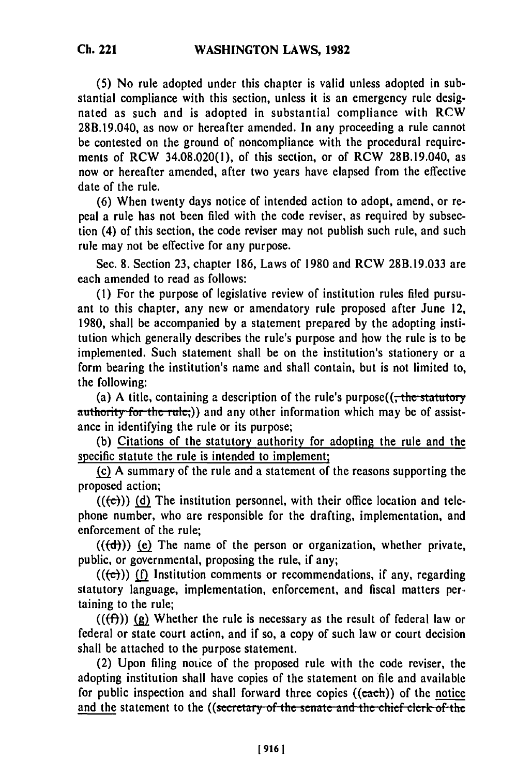**(5)** No rule adopted under this chapter is valid unless adopted in substantial compliance with this section, unless it is an emergency rule designated as such and is adopted in substantial compliance with RCW 28B.19.040, as now or hereafter amended. In any proceeding a rule cannot be contested on the ground of noncompliance with the procedural requirements of RCW 34.08.020(1), of this section, or of RCW 28B.19.040, as now or hereafter amended, after two years have elapsed from the effective date of the rule.

**(6)** When twenty days notice of intended action to adopt, amend, or repeal a rule has not been filed with the code reviser, as required **by** subsection (4) of this section, the code reviser may not publish such rule, and such rule may not be effective for any purpose.

Sec. **8.** Section **23,** chapter **186,** Laws of **1980** and RCW **28B.19.033** are each amended to read as follows:

**(1)** For the purpose of legislative review of institution rules filed pursuant to this chapter, any new or amendatory rule proposed after June 12, **1980,** shall be accompanied **by** a statement prepared **by** the adopting institution which generally describes the rule's purpose and how the rule is to be implemented. Such statement shall be on the institution's stationery or a form bearing the institution's name and shall contain, but is not limited to, the following:

(a) A title, containing a description of the rule's purpose(( $\frac{1}{100}$  the statutory authority for the rule,)) and any other information which may be of assistance in identifying the rule or its purpose;

**(b)** Citations of the statutory authority for adopting the rule and the specific statute the rule is intended to implement;

**(c) A** summary of the rule and a statement of the reasons supporting the proposed action;

 $((\overline{c}))$  (d) The institution personnel, with their office location and telephone number, who are responsible for the drafting, implementation, and enforcement of the rule;

**(((d))) (e)** The name of the person or organization, whether private, public, or governmental, proposing the rule, if any;

 $((\epsilon))$  (f) Institution comments or recommendations, if any, regarding statutory language, implementation, enforcement, and fiscal matters per. taining to the rule;

 $((\text{f}))(g)$  Whether the rule is necessary as the result of federal law or federal or state court action, and if so, a copy of such law or court decision shall be attached to the purpose statement.

(2) Upon filing notice of the proposed rule with the code reviser, the adopting institution shall have copies of the statement on file and available for public inspection and shall forward three copies ((each)) of the <u>notice</u><br>and the statement to the ((secretary of the senate and the chief clerk of the